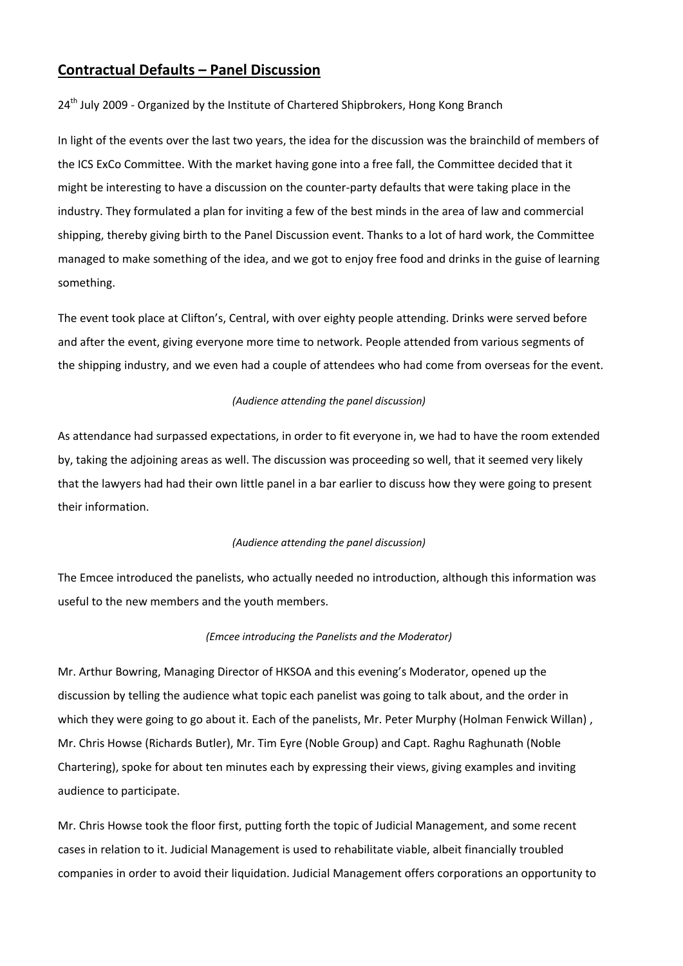# **Contractual Defaults – Panel Discussion**

24<sup>th</sup> July 2009 - Organized by the Institute of Chartered Shipbrokers, Hong Kong Branch

In light of the events over the last two years, the idea for the discussion was the brainchild of members of the ICS ExCo Committee. With the market having gone into a free fall, the Committee decided that it might be interesting to have a discussion on the counter-party defaults that were taking place in the industry. They formulated a plan for inviting a few of the best minds in the area of law and commercial shipping, thereby giving birth to the Panel Discussion event. Thanks to a lot of hard work, the Committee managed to make something of the idea, and we got to enjoy free food and drinks in the guise of learning something.

The event took place at Clifton's, Central, with over eighty people attending. Drinks were served before and after the event, giving everyone more time to network. People attended from various segments of the shipping industry, and we even had a couple of attendees who had come from overseas for the event.

# *(Audience attending the panel discussion)*

As attendance had surpassed expectations, in order to fit everyone in, we had to have the room extended by, taking the adjoining areas as well. The discussion was proceeding so well, that it seemed very likely that the lawyers had had their own little panel in a bar earlier to discuss how they were going to present their information.

### *(Audience attending the panel discussion)*

The Emcee introduced the panelists, who actually needed no introduction, although this information was useful to the new members and the youth members.

### *(Emcee introducing the Panelists and the Moderator)*

Mr. Arthur Bowring, Managing Director of HKSOA and this evening's Moderator, opened up the discussion by telling the audience what topic each panelist was going to talk about, and the order in which they were going to go about it. Each of the panelists, Mr. Peter Murphy (Holman Fenwick Willan), Mr. Chris Howse (Richards Butler), Mr. Tim Eyre (Noble Group) and Capt. Raghu Raghunath (Noble Chartering), spoke for about ten minutes each by expressing their views, giving examples and inviting audience to participate.

Mr. Chris Howse took the floor first, putting forth the topic of Judicial Management, and some recent cases in relation to it. Judicial Management is used to rehabilitate viable, albeit financially troubled companies in order to avoid their liquidation. Judicial Management offers corporations an opportunity to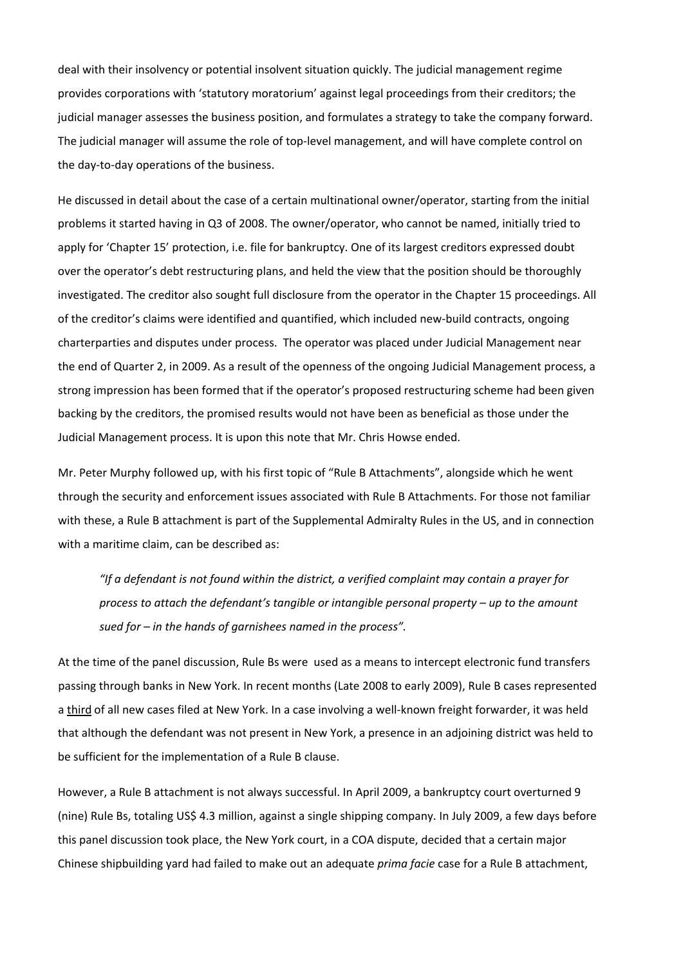deal with their insolvency or potential insolvent situation quickly. The judicial management regime provides corporations with 'statutory moratorium' against legal proceedings from their creditors; the judicial manager assesses the business position, and formulates a strategy to take the company forward. The judicial manager will assume the role of top-level management, and will have complete control on the day‐to‐day operations of the business.

He discussed in detail about the case of a certain multinational owner/operator, starting from the initial problems it started having in Q3 of 2008. The owner/operator, who cannot be named, initially tried to apply for 'Chapter 15' protection, i.e. file for bankruptcy. One of its largest creditors expressed doubt over the operator's debt restructuring plans, and held the view that the position should be thoroughly investigated. The creditor also sought full disclosure from the operator in the Chapter 15 proceedings. All of the creditor's claims were identified and quantified, which included new‐build contracts, ongoing charterparties and disputes under process. The operator was placed under Judicial Management near the end of Quarter 2, in 2009. As a result of the openness of the ongoing Judicial Management process, a strong impression has been formed that if the operator's proposed restructuring scheme had been given backing by the creditors, the promised results would not have been as beneficial as those under the Judicial Management process. It is upon this note that Mr. Chris Howse ended.

Mr. Peter Murphy followed up, with his first topic of "Rule B Attachments", alongside which he went through the security and enforcement issues associated with Rule B Attachments. For those not familiar with these, a Rule B attachment is part of the Supplemental Admiralty Rules in the US, and in connection with a maritime claim, can be described as:

*"If a defendant is not found within the district, a verified complaint may contain a prayer for process to attach the defendant's tangible or intangible personal property – up to the amount sued for – in the hands of garnishees named in the process".*

At the time of the panel discussion, Rule Bs were used as a means to intercept electronic fund transfers passing through banks in New York. In recent months (Late 2008 to early 2009), Rule B cases represented a third of all new cases filed at New York. In a case involving a well‐known freight forwarder, it was held that although the defendant was not present in New York, a presence in an adjoining district was held to be sufficient for the implementation of a Rule B clause.

However, a Rule B attachment is not always successful. In April 2009, a bankruptcy court overturned 9 (nine) Rule Bs, totaling US\$ 4.3 million, against a single shipping company. In July 2009, a few days before this panel discussion took place, the New York court, in a COA dispute, decided that a certain major Chinese shipbuilding yard had failed to make out an adequate *prima facie* case for a Rule B attachment,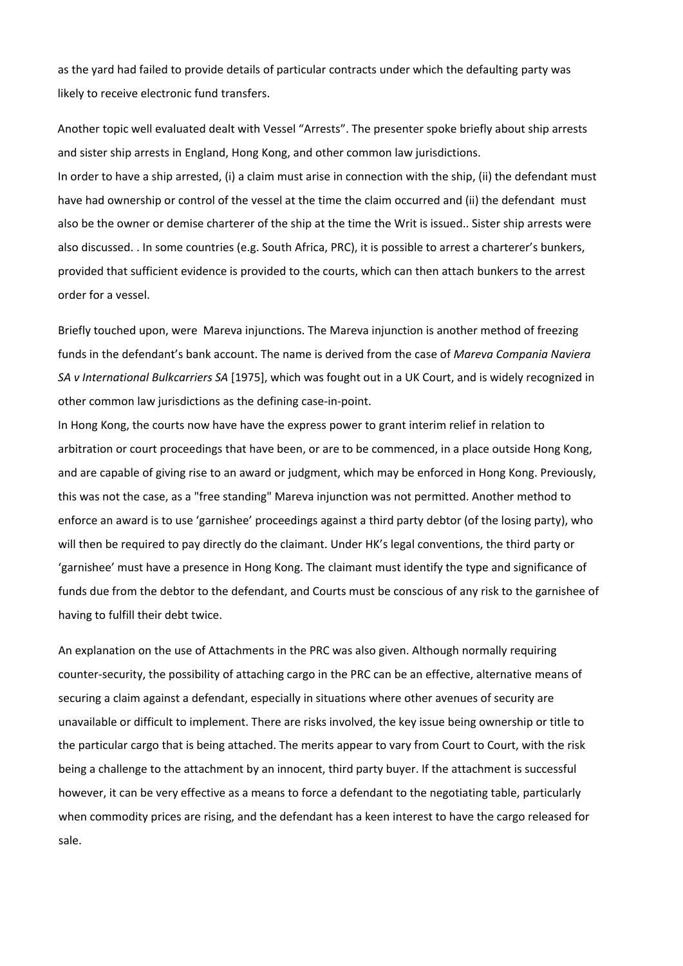as the yard had failed to provide details of particular contracts under which the defaulting party was likely to receive electronic fund transfers.

Another topic well evaluated dealt with Vessel "Arrests". The presenter spoke briefly about ship arrests and sister ship arrests in England, Hong Kong, and other common law jurisdictions.

In order to have a ship arrested, (i) a claim must arise in connection with the ship, (ii) the defendant must have had ownership or control of the vessel at the time the claim occurred and (ii) the defendant must also be the owner or demise charterer of the ship at the time the Writ is issued.. Sister ship arrests were also discussed. . In some countries (e.g. South Africa, PRC), it is possible to arrest a charterer's bunkers, provided that sufficient evidence is provided to the courts, which can then attach bunkers to the arrest order for a vessel.

Briefly touched upon, were Mareva injunctions. The Mareva injunction is another method of freezing funds in the defendant's bank account. The name is derived from the case of *Mareva Compania Naviera SA v International Bulkcarriers SA* [1975], which was fought out in a UK Court, and is widely recognized in other common law jurisdictions as the defining case‐in‐point.

In Hong Kong, the courts now have have the express power to grant interim relief in relation to arbitration or court proceedings that have been, or are to be commenced, in a place outside Hong Kong, and are capable of giving rise to an award or judgment, which may be enforced in Hong Kong. Previously, this was not the case, as a "free standing" Mareva injunction was not permitted. Another method to enforce an award is to use 'garnishee' proceedings against a third party debtor (of the losing party), who will then be required to pay directly do the claimant. Under HK's legal conventions, the third party or 'garnishee' must have a presence in Hong Kong. The claimant must identify the type and significance of funds due from the debtor to the defendant, and Courts must be conscious of any risk to the garnishee of having to fulfill their debt twice.

An explanation on the use of Attachments in the PRC was also given. Although normally requiring counter‐security, the possibility of attaching cargo in the PRC can be an effective, alternative means of securing a claim against a defendant, especially in situations where other avenues of security are unavailable or difficult to implement. There are risks involved, the key issue being ownership or title to the particular cargo that is being attached. The merits appear to vary from Court to Court, with the risk being a challenge to the attachment by an innocent, third party buyer. If the attachment is successful however, it can be very effective as a means to force a defendant to the negotiating table, particularly when commodity prices are rising, and the defendant has a keen interest to have the cargo released for sale.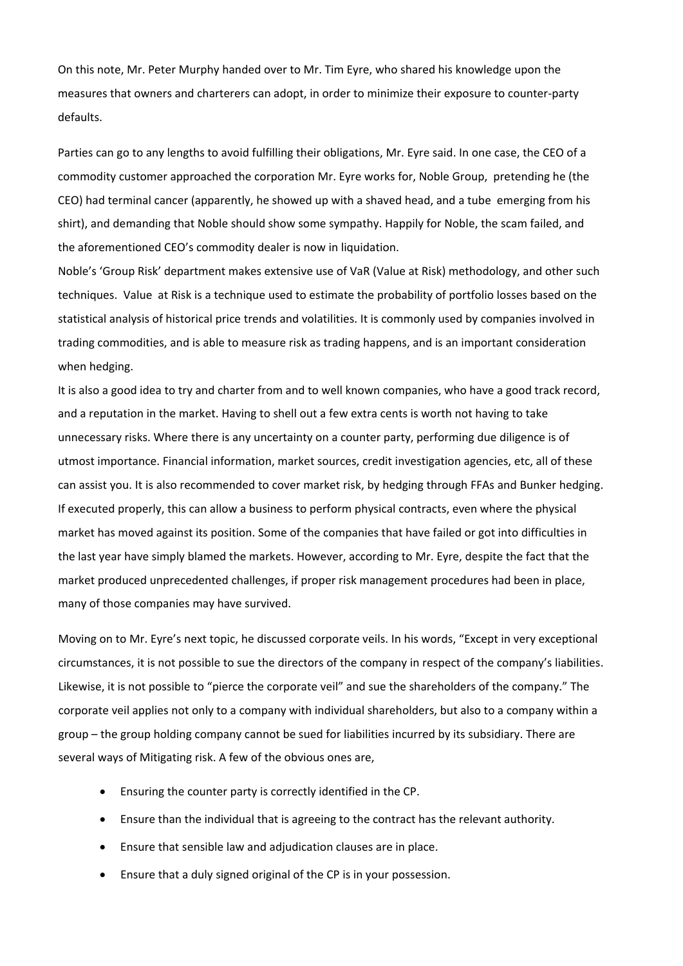On this note, Mr. Peter Murphy handed over to Mr. Tim Eyre, who shared his knowledge upon the measures that owners and charterers can adopt, in order to minimize their exposure to counter‐party defaults.

Parties can go to any lengths to avoid fulfilling their obligations, Mr. Eyre said. In one case, the CEO of a commodity customer approached the corporation Mr. Eyre works for, Noble Group, pretending he (the CEO) had terminal cancer (apparently, he showed up with a shaved head, and a tube emerging from his shirt), and demanding that Noble should show some sympathy. Happily for Noble, the scam failed, and the aforementioned CEO's commodity dealer is now in liquidation.

Noble's 'Group Risk' department makes extensive use of VaR (Value at Risk) methodology, and other such techniques. Value at Risk is a technique used to estimate the probability of portfolio losses based on the statistical analysis of historical price trends and volatilities. It is commonly used by companies involved in trading commodities, and is able to measure risk as trading happens, and is an important consideration when hedging.

It is also a good idea to try and charter from and to well known companies, who have a good track record, and a reputation in the market. Having to shell out a few extra cents is worth not having to take unnecessary risks. Where there is any uncertainty on a counter party, performing due diligence is of utmost importance. Financial information, market sources, credit investigation agencies, etc, all of these can assist you. It is also recommended to cover market risk, by hedging through FFAs and Bunker hedging. If executed properly, this can allow a business to perform physical contracts, even where the physical market has moved against its position. Some of the companies that have failed or got into difficulties in the last year have simply blamed the markets. However, according to Mr. Eyre, despite the fact that the market produced unprecedented challenges, if proper risk management procedures had been in place, many of those companies may have survived.

Moving on to Mr. Eyre's next topic, he discussed corporate veils. In his words, "Except in very exceptional circumstances, it is not possible to sue the directors of the company in respect of the company's liabilities. Likewise, it is not possible to "pierce the corporate veil" and sue the shareholders of the company." The corporate veil applies not only to a company with individual shareholders, but also to a company within a group – the group holding company cannot be sued for liabilities incurred by its subsidiary. There are several ways of Mitigating risk. A few of the obvious ones are,

- Ensuring the counter party is correctly identified in the CP.
- Ensure than the individual that is agreeing to the contract has the relevant authority.
- Ensure that sensible law and adjudication clauses are in place.
- Ensure that a duly signed original of the CP is in your possession.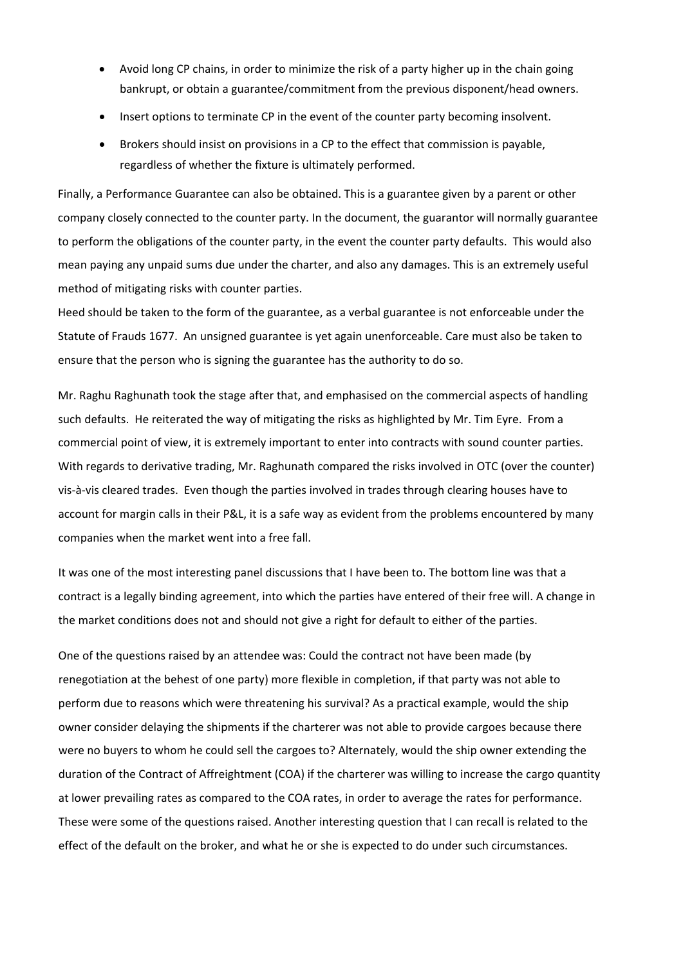- Avoid long CP chains, in order to minimize the risk of a party higher up in the chain going bankrupt, or obtain a guarantee/commitment from the previous disponent/head owners.
- Insert options to terminate CP in the event of the counter party becoming insolvent.
- Brokers should insist on provisions in a CP to the effect that commission is payable, regardless of whether the fixture is ultimately performed.

Finally, a Performance Guarantee can also be obtained. This is a guarantee given by a parent or other company closely connected to the counter party. In the document, the guarantor will normally guarantee to perform the obligations of the counter party, in the event the counter party defaults. This would also mean paying any unpaid sums due under the charter, and also any damages. This is an extremely useful method of mitigating risks with counter parties.

Heed should be taken to the form of the guarantee, as a verbal guarantee is not enforceable under the Statute of Frauds 1677. An unsigned guarantee is yet again unenforceable. Care must also be taken to ensure that the person who is signing the guarantee has the authority to do so.

Mr. Raghu Raghunath took the stage after that, and emphasised on the commercial aspects of handling such defaults. He reiterated the way of mitigating the risks as highlighted by Mr. Tim Eyre. From a commercial point of view, it is extremely important to enter into contracts with sound counter parties. With regards to derivative trading, Mr. Raghunath compared the risks involved in OTC (over the counter) vis‐à‐vis cleared trades. Even though the parties involved in trades through clearing houses have to account for margin calls in their P&L, it is a safe way as evident from the problems encountered by many companies when the market went into a free fall.

It was one of the most interesting panel discussions that I have been to. The bottom line was that a contract is a legally binding agreement, into which the parties have entered of their free will. A change in the market conditions does not and should not give a right for default to either of the parties.

One of the questions raised by an attendee was: Could the contract not have been made (by renegotiation at the behest of one party) more flexible in completion, if that party was not able to perform due to reasons which were threatening his survival? As a practical example, would the ship owner consider delaying the shipments if the charterer was not able to provide cargoes because there were no buyers to whom he could sell the cargoes to? Alternately, would the ship owner extending the duration of the Contract of Affreightment (COA) if the charterer was willing to increase the cargo quantity at lower prevailing rates as compared to the COA rates, in order to average the rates for performance. These were some of the questions raised. Another interesting question that I can recall is related to the effect of the default on the broker, and what he or she is expected to do under such circumstances.